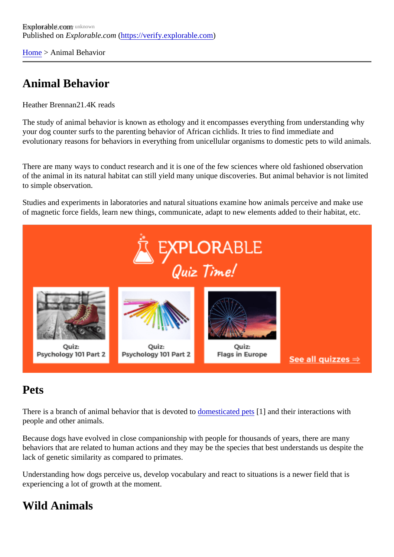[Home](https://verify.explorable.com/)> Animal Behavior

# Animal Behavior

Heather Brennan .4K reads

The study of animal behavior is known as ethology and it encompasses everything from understanding wh your dog counter surfs to the parenting behavior of African cichlids. It tries to find immediate and evolutionary reasons for behaviors in everything from unicellular organisms to domestic pets to wild animal

There are many ways to conduct research and it is one of the few sciences where old fashioned observati of the animal in its natural habitat can still yield many unique discoveries. But animal behavior is not limited to simple observation.

Studies and experiments in laboratories and natural situations examine how animals perceive and make u of magnetic force fields, learn new things, communicate, adapt to new elements added to their habitat, etc.

### Pets

There is a branch of animal behavior that is devotero to assicated pets and their interactions with people and other animals.

Because dogs have evolved in close companionship with people for thousands of years, there are many behaviors that are related to human actions and they may be the species that best understands us despite lack of genetic similarity as compared to primates.

Understanding how dogs perceive us, develop vocabulary and react to situations is a newer field that is experiencing a lot of growth at the moment.

## Wild Animals